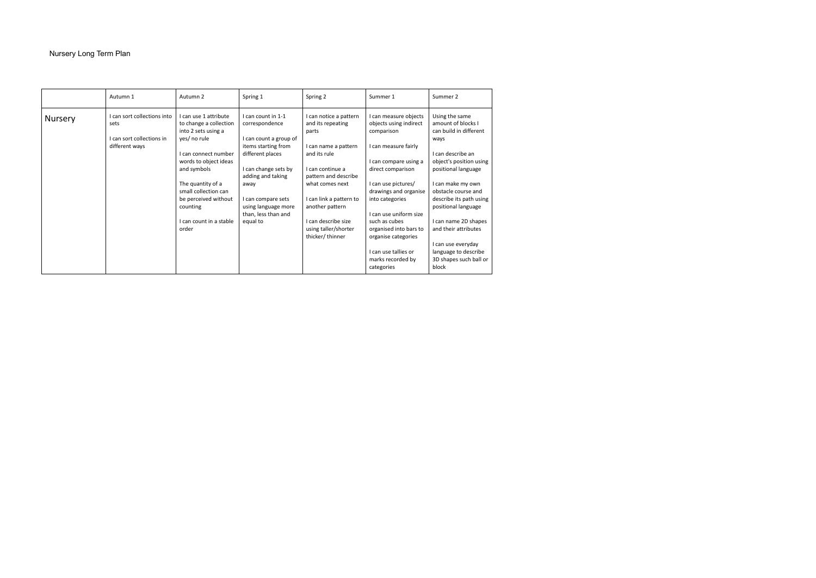## Nursery Long Term Plan

|                | Autumn 1                                                                           | Autumn 2                                                                                                                                                                                                                                                                    | Spring 1                                                                                                                                                                                                                                       | Spring 2                                                                                                                                                                                                                                                                  | Summer 1                                                                                                                                                                                                                                                                                                                                                      | Summer 2                                                                                                                                                                                                                                                                                                                                                                     |
|----------------|------------------------------------------------------------------------------------|-----------------------------------------------------------------------------------------------------------------------------------------------------------------------------------------------------------------------------------------------------------------------------|------------------------------------------------------------------------------------------------------------------------------------------------------------------------------------------------------------------------------------------------|---------------------------------------------------------------------------------------------------------------------------------------------------------------------------------------------------------------------------------------------------------------------------|---------------------------------------------------------------------------------------------------------------------------------------------------------------------------------------------------------------------------------------------------------------------------------------------------------------------------------------------------------------|------------------------------------------------------------------------------------------------------------------------------------------------------------------------------------------------------------------------------------------------------------------------------------------------------------------------------------------------------------------------------|
| <b>Nursery</b> | I can sort collections into<br>sets<br>I can sort collections in<br>different ways | I can use 1 attribute<br>to change a collection<br>into 2 sets using a<br>yes/ no rule<br>I can connect number<br>words to object ideas<br>and symbols<br>The quantity of a<br>small collection can<br>be perceived without<br>counting<br>I can count in a stable<br>order | I can count in 1-1<br>correspondence<br>I can count a group of<br>items starting from<br>different places<br>I can change sets by<br>adding and taking<br>away<br>I can compare sets<br>using language more<br>than, less than and<br>equal to | I can notice a pattern<br>and its repeating<br>parts<br>can name a pattern<br>and its rule<br>I can continue a<br>pattern and describe<br>what comes next<br>I can link a pattern to<br>another pattern<br>I can describe size<br>using taller/shorter<br>thicker/thinner | I can measure objects<br>objects using indirect<br>comparison<br>I can measure fairly<br>I can compare using a<br>direct comparison<br>I can use pictures/<br>drawings and organise<br>into categories<br>I can use uniform size<br>such as cubes<br>organised into bars to<br>organise categories<br>I can use tallies or<br>marks recorded by<br>categories | Using the same<br>amount of blocks I<br>can build in different<br>ways<br>I can describe an<br>object's position using<br>positional language<br>I can make my own<br>obstacle course and<br>describe its path using<br>positional language<br>I can name 2D shapes<br>and their attributes<br>I can use everyday<br>language to describe<br>3D shapes such ball or<br>block |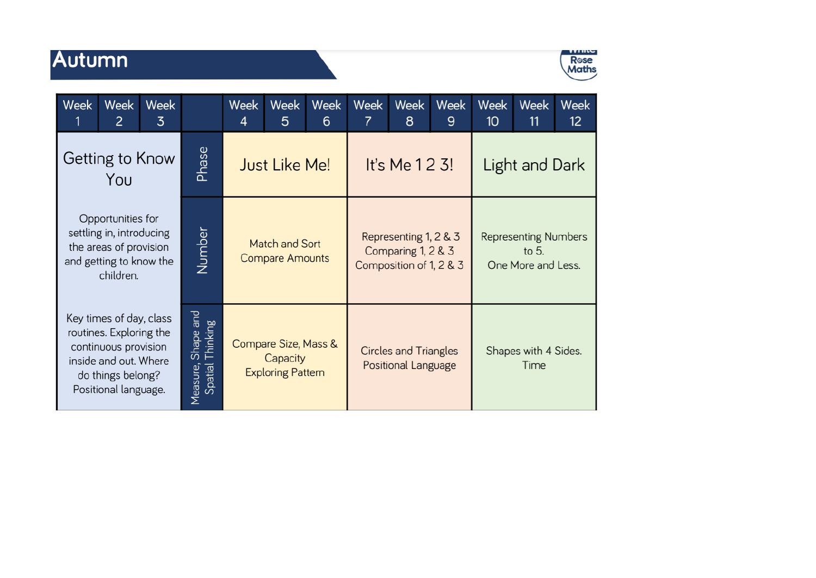## Autumn



| <b>Week</b>                                                                                                                                      | Week<br>2 | <b>Week</b><br>3                             |                      | <b>Week</b><br>4                                             | <b>Week</b><br>5 | Week<br>6                                                              | Week<br>7                                           | <b>Week</b><br>8 | Week<br>9                                                    | Week<br>10                   | <b>Week</b><br>11 | Week<br>12 <sup>°</sup> |
|--------------------------------------------------------------------------------------------------------------------------------------------------|-----------|----------------------------------------------|----------------------|--------------------------------------------------------------|------------------|------------------------------------------------------------------------|-----------------------------------------------------|------------------|--------------------------------------------------------------|------------------------------|-------------------|-------------------------|
| Getting to Know<br>You                                                                                                                           |           | Phase                                        | <b>Just Like Me!</b> |                                                              |                  | It's Me 1 2 3!                                                         |                                                     |                  | Light and Dark                                               |                              |                   |                         |
| Opportunities for<br>settling in, introducing<br>the areas of provision<br>and getting to know the<br>children.                                  |           | Number                                       |                      | Match and Sort<br><b>Compare Amounts</b>                     |                  | Representing 1, 2 & 3<br>Comparing 1, 2 & 3<br>Composition of 1, 2 & 3 |                                                     |                  | <b>Representing Numbers</b><br>to $5.$<br>One More and Less. |                              |                   |                         |
| Key times of day, class<br>routines. Exploring the<br>continuous provision<br>inside and out. Where<br>do things belong?<br>Positional language. |           | Shape and<br>Thinking<br>Spatial<br>Measure, |                      | Compare Size, Mass &<br>Capacity<br><b>Exploring Pattern</b> |                  |                                                                        | <b>Circles and Triangles</b><br>Positional Language |                  |                                                              | Shapes with 4 Sides.<br>Time |                   |                         |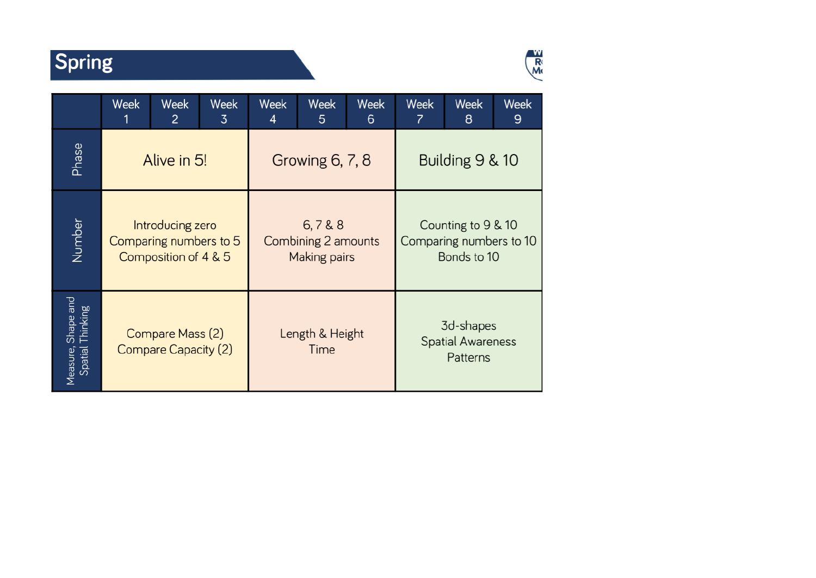## Spring



|                                              | Week | Week<br>2                                                          | Week<br>3 | Week<br>4 | Week<br>5                                    | Week<br>6 | Week<br>7                                                    | Week<br>8 | Week<br>9 |  |
|----------------------------------------------|------|--------------------------------------------------------------------|-----------|-----------|----------------------------------------------|-----------|--------------------------------------------------------------|-----------|-----------|--|
| Phase                                        |      | Alive in 5!                                                        |           |           | Growing 6, 7, 8                              |           | Building 9 & 10                                              |           |           |  |
| Number                                       |      | Introducing zero<br>Comparing numbers to 5<br>Composition of 4 & 5 |           |           | 6,7&8<br>Combining 2 amounts<br>Making pairs |           | Counting to 9 & 10<br>Comparing numbers to 10<br>Bonds to 10 |           |           |  |
| Shape and<br>Thinking<br>Spatial<br>Measure, |      | Compare Mass (2)<br><b>Compare Capacity (2)</b>                    |           |           | Length & Height<br>Time                      |           | 3d-shapes<br><b>Spatial Awareness</b><br>Patterns            |           |           |  |